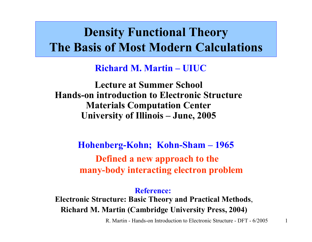### **Density Functional Theory The Basis of Most Modern Calculations**

### **Richard M. Martin –UIUC**

**Lecture at Summer School Hands-on introduction to Electronic StructureMaterials Computation Center University of Illinois – June, 2005**

> **Hohenberg-Kohn; Kohn-Sham – 1965 Defined a new approach to the many-body interacting electron problem**

> > **Reference:**

**Electronic Structure: Basic Theory and Practical Methods**, **Richard M. Martin (Cambridge University Press, 2004)**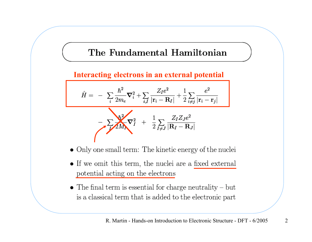### The Fundamental Hamiltonian

### **Interacting electrons in an external potential**

$$
\hat{H} = -\sum_{i} \frac{\hbar^2}{2m_e} \nabla_i^2 + \sum_{i, I} \frac{Z_I e^2}{|\mathbf{r}_i - \mathbf{R}_I|} + \frac{1}{2} \sum_{i \neq j} \frac{e^2}{|\mathbf{r}_i - \mathbf{r}_j|}
$$
\n
$$
-\sum_{I} \sum_{I} \frac{\hbar^2}{2M_I} \nabla_I^2 + \frac{1}{2} \sum_{I \neq J} \frac{Z_I Z_J e^2}{|\mathbf{R}_I - \mathbf{R}_J|}
$$

- $\bullet$  Only one small term: The kinetic energy of the nuclei
- If we omit this term, the nuclei are a fixed external potential acting on the electrons
- $\bullet$  The final term is essential for charge neutrality but is a classical term that is added to the electronic part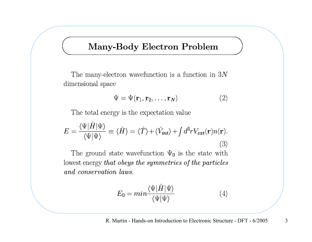### Many-Body Electron Problem

The many-electron wavefunction is a function in  $3N$ dimensional space

$$
\Psi = \Psi(\mathbf{r}_1, \mathbf{r}_2, \dots, \mathbf{r}_N) \tag{2}
$$

The total energy is the expectation value

$$
E = \frac{\langle \Psi | \hat{H} | \Psi \rangle}{\langle \Psi | \Psi \rangle} \equiv \langle \hat{H} \rangle = \langle \hat{T} \rangle + \langle \hat{V}_{int} \rangle + \int d^3 r V_{ext}(\mathbf{r}) n(\mathbf{r}). \tag{3}
$$

The ground state wavefunction  $\Psi_0$  is the state with lowest energy that obeys the symmetries of the particles and conservation laws.

$$
E_0 = \min \frac{\langle \Psi | \hat{H} | \Psi \rangle}{\langle \Psi | \Psi \rangle} \tag{4}
$$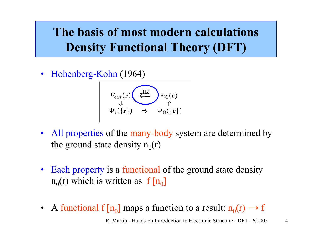### **The basis of most modern calculations Density Functional Theory (DFT)**

 $\bullet$ Hohenberg-Kohn (1964)

$$
V_{ext}(\mathbf{r}) \underset{\Downarrow}{\underbrace{\left(\frac{\text{HK}}{\left(\text{}}\right)\right)}} n_0(\mathbf{r})
$$
  

$$
\psi_i(\{\mathbf{r}\}) \Rightarrow \psi_0(\{\mathbf{r}\})
$$

- All properties of the many-body system are determined by the ground state density  $n_0(r)$
- $\bullet$ Each property is a functional of the ground state density  $n_0(r)$  which is written as  $f[n_0]$
- A functional f  $[n_0]$  maps a function to a result:  $n_0(r) \rightarrow f$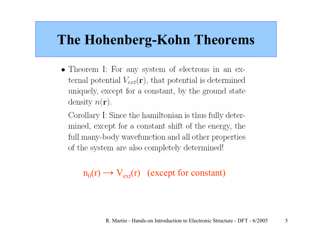## **The Hohenberg-Kohn Theorems**

• Theorem I: For any system of electrons in an external potential  $V_{ext}(\mathbf{r})$ , that potential is determined uniquely, except for a constant, by the ground state density  $n(\mathbf{r})$ .

Corollary I: Since the hamiltonian is thus fully determined, except for a constant shift of the energy, the full many-body wavefunction and all other properties of the system are also completely determined!

 $n_0(r) \rightarrow V_{ext}(r)$  (except for constant)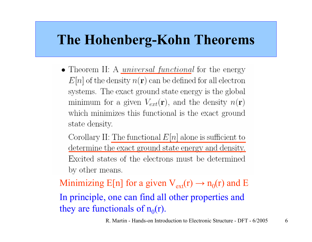## **The Hohenberg-Kohn Theorems**

• Theorem II: A *universal functional* for the energy  $E[n]$  of the density  $n(\mathbf{r})$  can be defined for all electron systems. The exact ground state energy is the global minimum for a given  $V_{ext}(\mathbf{r})$ , and the density  $n(\mathbf{r})$ which minimizes this functional is the exact ground state density.

Corollary II: The functional  $E[n]$  alone is sufficient to determine the exact ground state energy and density. Excited states of the electrons must be determined by other means.

Minimizing E[n] for a given  $V_{ext}(r) \rightarrow n_0(r)$  and E In principle, one can find all other properties and they are functionals of  $n_0(r)$ .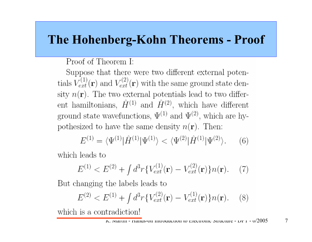### **The Hohenberg-Kohn Theorems - Proof**

Proof of Theorem I:

Suppose that there were two different external potentials  $V_{ext}^{(1)}(\mathbf{r})$  and  $V_{ext}^{(2)}(\mathbf{r})$  with the same ground state density  $n(\mathbf{r})$ . The two external potentials lead to two different hamiltonians,  $\hat{H}^{(1)}$  and  $\hat{H}^{(2)}$ , which have different ground state wavefunctions,  $\Psi^{(1)}$  and  $\Psi^{(2)}$ , which are hypothesized to have the same density  $n(\mathbf{r})$ . Then:

$$
E^{(1)} = \langle \Psi^{(1)} | \hat{H}^{(1)} | \Psi^{(1)} \rangle < \langle \Psi^{(2)} | \hat{H}^{(1)} | \Psi^{(2)} \rangle.
$$
 (6)

which leads to

$$
E^{(1)} < E^{(2)} + \int d^3r \{ V_{ext}^{(1)}(\mathbf{r}) - V_{ext}^{(2)}(\mathbf{r}) \} n(\mathbf{r}). \tag{7}
$$

But changing the labels leads to

$$
E^{(2)} < E^{(1)} + \int d^3r \{ V_{ext}^{(2)}(\mathbf{r}) - V_{ext}^{(1)}(\mathbf{r}) \} n(\mathbf{r}). \tag{8}
$$

which is a contradiction!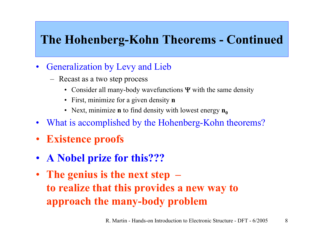### **The Hohenberg-Kohn Theorems - Continued**

- $\bullet$ Generalization by Levy and Lieb
	- Recast as a two step process
		- Consider all many-body wavefunctions  $\Psi$  with the same density
		- First, minimize for a given density **n**
		- Next, minimize **n** to find density with lowest energy  $n_0$
- $\bullet$ What is accomplished by the Hohenberg-Kohn theorems?
- •**Existence proofs**
- $\bullet$ **A Nobel prize for this???**
- • **The genius is the next step – to realize that this provides a new way to approach the many-body problem**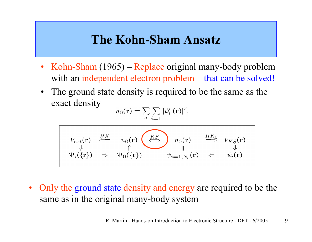### **The Kohn-Sham Ansatz**

- Kohn-Sham (1965) Replace original many-body problem with an independent electron problem – that can be solved!
- The ground state density is required to be the same as the exact density

$$
n_0(\mathbf{r}) = \sum_{\sigma} \sum_{i=1} |\psi_i^{\sigma}(\mathbf{r})|^2,
$$

$$
V_{ext}(\mathbf{r}) \stackrel{HK}{\Leftarrow} n_0(\mathbf{r}) \stackrel{KS}{\Leftarrow} n_0(\mathbf{r}) n_0(\mathbf{r}) \stackrel{HK_0}{\Rightarrow} V_{KS}(\mathbf{r})
$$
  

$$
\Psi_i(\{\mathbf{r}\}) \Rightarrow \Psi_0(\{\mathbf{r}\}) \qquad \psi_{i=1,N_e}(\mathbf{r}) \Leftarrow \psi_i(\mathbf{r})
$$

•Only the ground state density and energy are required to be the same as in the original many-body system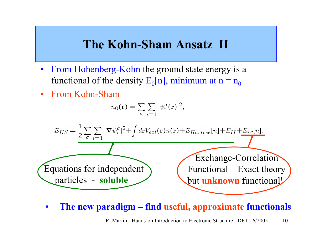### **The Kohn-Sham Ansatz II**

- •From Hohenberg-Kohn the ground state energy is a functional of the density  $E_0[n]$ , minimum at n =  $n_0$
- •From Kohn-Sham

$$
n_0(\mathbf{r}) = \sum_{\sigma} \sum_{i=1} |\psi_i^{\sigma}(\mathbf{r})|^2,
$$



 $\bullet$ **The new paradigm – find useful, approximate functionals**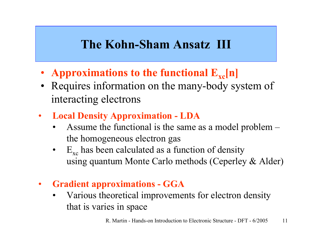### **The Kohn-Sham Ansatz III**

- **Approximations to the functional**  $\mathbf{E}_{\mathbf{xc}}[\mathbf{n}]$
- Requires information on the many-body system of interacting electrons
- • **Local Density Approximation - LDA**
	- •Assume the functional is the same as a model problem – the homogeneous electron gas
	- • $E_{\text{xc}}$  has been calculated as a function of density using quantum Monte Carlo methods (Ceperley & Alder)
- • **Gradient approximations - GGA**
	- $\bullet$ Various theoretical improvements for electron density that is varies in space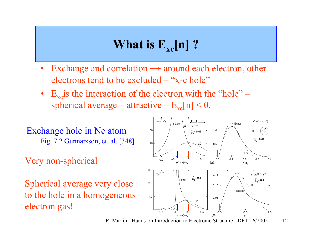## **What is**  $E_{xc}[n]$  **?**

- •Exchange and correlation  $\rightarrow$  around each electron, other electrons tend to be excluded – "x-c hole"
- $E_{\rm xc}$  is the interaction of the electron with the "hole" spherical average – attractive –  $E_{xc}[n]$  < 0.
- Exchange hole in Ne atom Fig. 7.2 Gunnarsson, et. al. [348]
- Very non-spherical

Spherical average very close to the hole in a homogeneous electron gas!

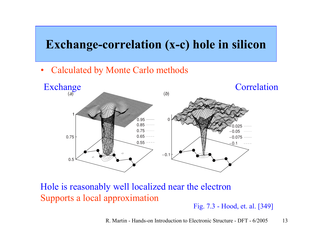### **Exchange-correlation (x-c) hole in silicon**

•Calculated by Monte Carlo methods



Hole is reasonably well localized near the electron Supports a local approximation

Fig. 7.3 - Hood, et. al. [349]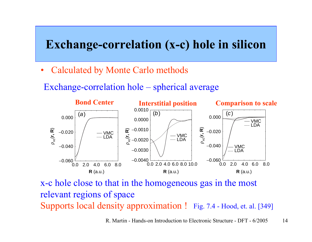### **Exchange-correlation (x-c) hole in silicon**

- •Calculated by Monte Carlo methods
- Exchange-correlation hole spherical average



x-c hole close to that in the homogeneous gas in the most relevant regions of space Supports local density approximation ! Fig. 7.4 - Hood, et. al. [349]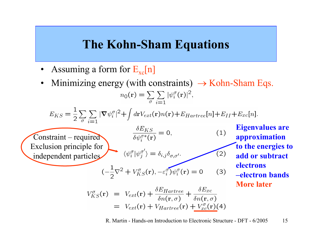### **The Kohn-Sham Equations**

- •Assuming a form for  $E_{xc}[n]$
- Minimizing energy (with constraints)  $\rightarrow$  Kohn-Sham Eqs. • $n_0(\mathbf{r}) = \sum \sum |\psi_i^{\sigma}(\mathbf{r})|^2,$

$$
E_{KS} = \frac{1}{2} \sum_{\sigma} \sum_{i=1} |\nabla \psi_i^{\sigma}|^2 + \int d\mathbf{r} V_{ext}(\mathbf{r}) n(\mathbf{r}) + E_{Hartree}[n] + E_{II} + E_{xc}[n].
$$

Constraint – required Exclusion principle for independent particles

 $\frac{\delta E_{KS}}{\delta \psi_i^{\sigma *}(\mathbf{r})} = 0,$ 

$$
\langle \psi_i^{\sigma} | \psi_j^{\sigma'} \rangle = \delta_{i,j} \delta_{\sigma,\sigma'}.
$$

$$
(-\frac{1}{2}\nabla^2 + V_{KS}^{\sigma}(\mathbf{r}), -\varepsilon_i^{\sigma})\psi_i^{\sigma}(\mathbf{r}) = 0 \qquad (3)
$$

**Eigenvalues are approxim ation to the energies to add or subtract electrons –electron bandsMore later**

$$
V_{KS}^{\sigma}(\mathbf{r}) = V_{ext}(\mathbf{r}) + \frac{\delta E_{Hartree}}{\delta n(\mathbf{r}, \sigma)} + \frac{\delta E_{xc}}{\delta n(\mathbf{r}, \sigma)}
$$
  
=  $V_{ext}(\mathbf{r}) + V_{Hartree}(\mathbf{r}) + V_{xc}^{\sigma}(\mathbf{r})$ (4)

R. Martin - Hands-on Introduction to Electronic Structure - DFT - 6/2005 15

 $(1)$ 

 $(2)$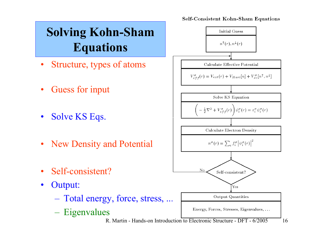

R. Martin - Hands-on Introduction to Electronic Structure - DFT - 6/2005 16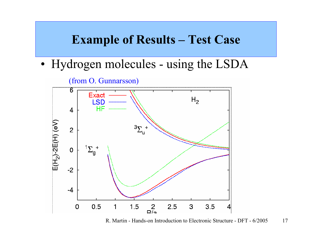### **Example of Results – Test Case**

•• Hydrogen molecules - using the LSDA

(from O. Gunnarsson) 6 Exact  $H<sub>2</sub>$ **LSD** HF  $\overline{4}$  $E(H_2)$ -2 $E(H)$  (eV)  $\frac{3}{2}$  $\overline{2}$  $^{1}\Sigma_{g}^{+}$  $\mathbf 0$  $-2$  $-4$  $0.5$  $1.5$  $R_{\text{2}}^2$ 3  $3.5$  $\mathbf 0$ 1  $2.5$ 

R. Martin - Hands-on Introduction to Electronic Structure - DFT - 6/2005 17

 $|4|$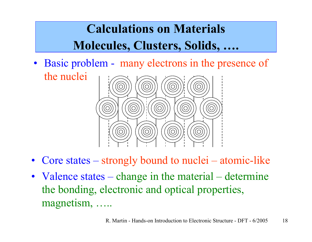## **Calculations on Materials Molecules, Clusters, Solids, ….**

• Basic problem - many electrons in the presence of the nuclei



- Core states strongly bound to nuclei atomic-like
- Valence states change in the material determine the bonding, electronic and optical properties, magnetism, …..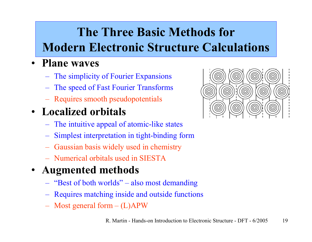## **The Three Basic Methods for Modern Electronic Structure Calculations**

### • **Plane waves**

- The simplicity of Fourier Expansions
- The speed of Fast Fourier Transforms
- Requires smooth pseudopotentials

### • **Localized orbitals**

- The intuitive appeal of atomic-like states
- Simplest interpretation in tight-binding form
- Gaussi an basis widely used in chemistry
- –Numerical orbitals used in SIESTA

#### •**Augmented methods**

- "Best of both worlds" –also most demanding
- Requires matching inside and outside functions
- Most general form (L)APW

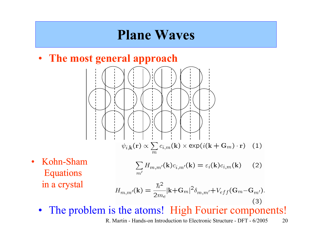## **Plane Waves**

• **The most general approach**



 $\bullet$  Kohn-Sham Equations in a crystal

$$
\sum_{m'} H_{m,m'}(\mathbf{k}) c_{i,m'}(\mathbf{k}) = \varepsilon_i(\mathbf{k}) c_{i,m}(\mathbf{k}) \qquad (2)
$$

$$
H_{m,m'}(\mathbf{k}) = \frac{\hbar^2}{2m_e} |\mathbf{k} + \mathbf{G}_m|^2 \delta_{m,m'} + V_{eff}(\mathbf{G}_m - \mathbf{G}_{m'}).
$$
\n(3)

 $\bullet$ The problem is the atoms! High Fourier components!

R. Martin - Hands-on Introduction to Electronic Structure - DFT - 6/2005 20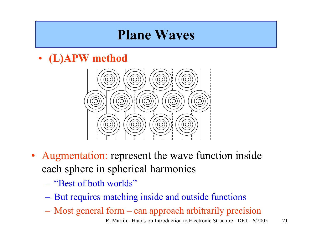## **Plane Waves**

• **(L)APW method**



- Augmentation: represent the wave function inside each sphere in spherical harmonics
	- –"Best of both worlds"
	- $\mathcal{L}_{\mathcal{A}}$  , and the set of  $\mathcal{L}_{\mathcal{A}}$ But requires matching inside and outside functions
	- Most general form can approach arbitrarily precision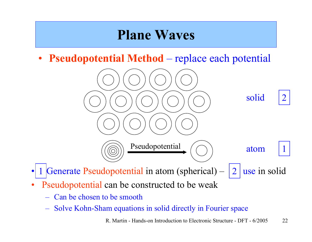## **Plane Waves**

• **Pseudopotential Method** – replace each potential



- • $\bullet$  1 Generate Pseudopotential in atom (spherical) – 2 use in solid 1
- • Pseudopotential can be constructed to be weak
	- Can be chosen to be smooth
	- Solve Kohn-Sham equations in solid directly in Fourier space

R. Martin - Hands-on Introduction to Electronic Structure - DFT - 6/2005 22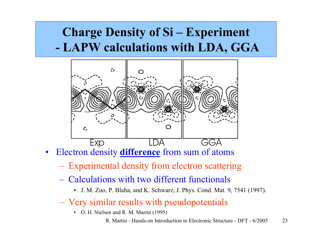### **Charge Density of Si – Experiment - LAPW calculations with LDA, GGA**



- $\bullet$ Electron density **difference** from sum of atoms
	- Experimental density from electron scattering
	- Calculations with two different functionals
		- J. M. Z uo, P. Blaha, and K. Schwarz, J. P hys. C ond. Mat. 9, 7541 (1997).
	- Very similar results with pseudopotentials
		- O. H. Nielsen and R. M. Martin (1995)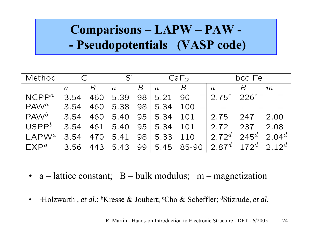### **Comparisons – LAPW – PAW - -Pseudopotentials (VASP code)**

| Method            | $\mathsf{C}$   |                | Si               |                 | CaF <sub>2</sub>   |              | bcc Fe            |                                             |           |
|-------------------|----------------|----------------|------------------|-----------------|--------------------|--------------|-------------------|---------------------------------------------|-----------|
|                   | $\overline{a}$ | $\overline{B}$ | $\boldsymbol{a}$ | B               | $\overline{a}$     | $\, B$       | $\overline{a}$    | $\boldsymbol{B}$                            | m         |
| $NCPP^a$          | 3.54           | 460            | 5.39             | 98              | 5.21               | 90           | 2.75 <sup>c</sup> | 226c                                        |           |
| $PAW^a$           | 3.54           | 460            | 5.38             | 98 <sup>°</sup> | 5.34               | 100          |                   |                                             |           |
| $PAW^b$           | 3.54           | 460            | 5.40             | $95 \mid$       | $\vert 5.34 \vert$ | 101          | 2.75              | 247                                         | 2.00      |
| USPP <sup>b</sup> | 3.54           | 461            | 5.40             |                 | $95 \mid 5.34$     | 101          | 2.72              | 237                                         | 2.08      |
| $LAPW^a$          | 3.54           | 470            | 5.41             | 98              | 5.33               | 110          | $2.72^d$          | 245 $^d$                                    | 2.04 $^d$ |
| $EXP^a$           | 3.56           | 443            | $5.43$ 99        |                 |                    | $5.45$ 85-90 |                   | $2.87^d$ 172 <sup>d</sup> 2.12 <sup>d</sup> |           |

- a lattice constant;  $B bulk$  modulus; m magnetization
- •• <sup>a</sup>Holzwarth, *et al.*; <sup>b</sup>Kresse & Joubert; <sup>c</sup>Cho & Scheffler; <sup>d</sup>Stizrude, *et al.*

R. Martin - Hands-on Introduction to Electronic Structure - DFT - 6/2005 24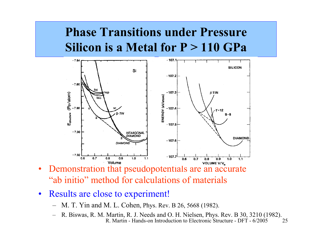### **Phase Transitions under PressureSilicon is a Metal for P > 110 GPa**



- • Demonstration that pseudopotentials are an accurate "ab initio" method for calculations of materials
- $\bullet$  Results are close to experiment!
	- –M. T. Yin and M. L. Cohen, Phys. Rev. B 26, 5668 (1982).
	- R. Martin Hands-on Introduction to Electronic Structure DFT 6/2005 25R. Biswas, R. M. Martin, R. J. Needs and O. H. Nielsen, Phys. Rev. B 30, 3210 (1982).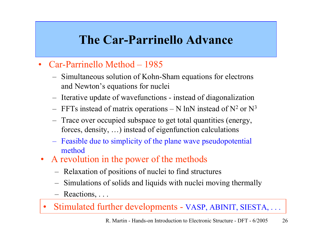### **The Car-Parrinello Advance**

- •Car-Parrinello Method – 1985
	- Simult aneous solution of Kohn-Sham equations for electrons and Newton's equations for nuclei
	- Iterative update of wavefunctions instead of diagonalization
	- $-$  FFTs instead of matrix operations  $-$  N lnN instead of N<sup>2</sup> or N<sup>3</sup>
	- Trace over occupied subspace to get total quantities (energy, forces, density, …) instead of eigenfunction calculations
	- Feasible due to simplicity of the plane wave pseudopotential method
- A revolution in the power of the methods
	- Relaxation of positions of nuclei to find structures
	- Simulations of solids and liquids with nuclei moving thermally
	- Reactions, . . .
- •Stimulated further developments - VASP, ABINIT, SIESTA, . . .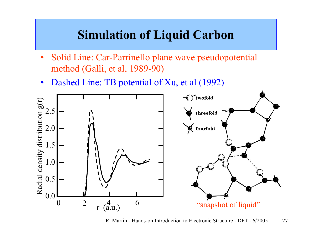### **Simulation of Liquid Carbon**

- •Solid Line: Car-Parrinello plane wave pseudopotential method (Galli, et al, 1989-90)
- $\bullet$ Dashed Line: TB potential of Xu, et al (1992)



R. Martin - Hands-on Introduction to Electronic Structure - DFT - 6/2005 27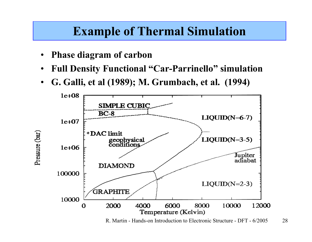### **Example of Thermal Simulation**

- •**Phase diagram of carbon**
- •**Full Density Functional "Car-Parrinello" simulation**
- •**G. Galli, et al (1989); M. Grumbach, et al. (1994)**



R. Martin - Hands-on Introduction to Electronic Structure - DFT - 6/2005 28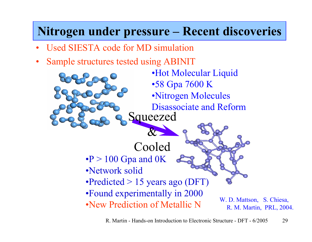### **Nitrogen under pressure – Recent discoveries**

- •Used SIESTA code for MD simulation
- •Sample structures tested using ABINIT

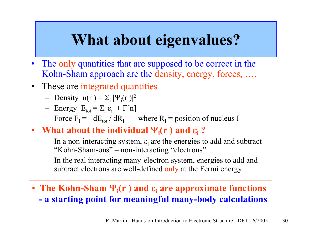# **What about eigenvalues?**

- $\bullet$ The only quantities that are supposed to be correct in the Kohn-Sham approach are the density, energy, forces, ....
- These are integrated quantities
	- Density  $n(r) = \sum_i |\Psi_i(r)|^2$
	- $-$  Energy  $E_{\text{tot}} = \Sigma_i \varepsilon_i + F[n]$
	- Force  $F_I = dE_{tot} / dR_I$  where  $R_I =$  position of nucleus I
- What about the individual  $\Psi_i$ (**r**) and  $\varepsilon_i$ ?
	- $-$  In a non-interacting system,  $\varepsilon$ <sub>i</sub> are the energies to add and subtract "Kohn-Sham-ons" –non-interacting "electrons"
	- In the real interacting many-electron system, energies to add and subtract electrons are well-defined only at the Fermi energy
- **The Kohn-Sham**  Ψ**i(r ) and** ε**i are approximate functions - a starting point for meaningful many-body calculations**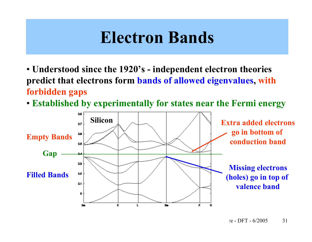# **Electron Bands**

- **Understood since the 1920's - independent electron theories predict that electrons form bands of allowed eigenvalues, with forbidden gaps**
- **Established by experimentally for states near the Fermi energy**

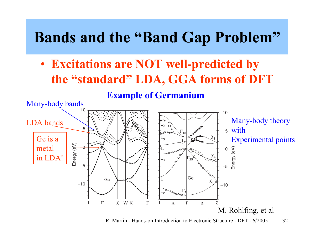# **Bands and the "Band Gap Problem"**

• **Excitations are NOT well-predicted by the "standard" LDA, GGA forms of DFT**

**Example of Germanium**



R. Martin - Hands-on Introduction to Electronic Structure - DFT - 6/2005 32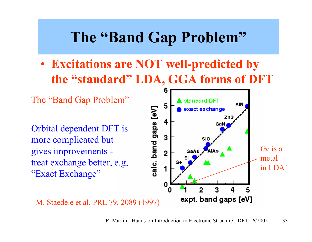# **The "Band Gap Problem"**

• **Excitations are NOT well-predicted by the "standard" LDA, GGA forms of DFT**

The "Band Gap Problem"

Orbital dependent DFT is more complicated but gives improvements treat exchange better, e.g, "Exact Exchange"



M. Staedele et al, PRL 79, 2089 (1997)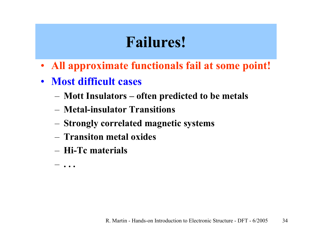# **Failures!**

- **All approximate functionals fail at some point!**
- **Most difficult cases**
	- –**Mott Insulators – often predicted to be metals**
	- **Metal-insulator Transitions**
	- –**Strongly correlated magnetic systems**
	- **Transiton metal oxides**
	- **Hi-Tc materials**

–**. . .**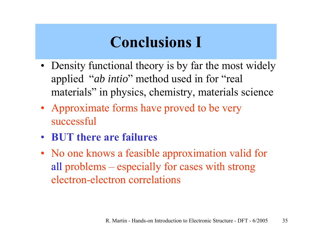# **Conclusions I**

- Density functional theory is by far the most widely applied "*ab intio* " method used in for "real materials" in physics, chemistry, materials science
- Approximate forms have proved to be very successful
- **BUT there are failures**
- No one knows a feasible approximation valid for all problems – especially for cases with strong electron-electron correlations